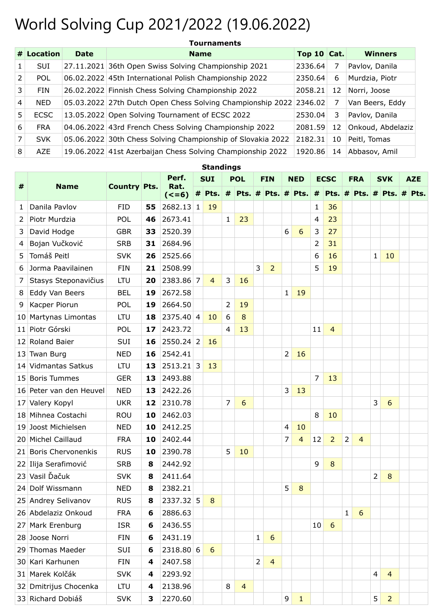## World Solving Cup 2021/2022 (19.06.2022)

|   | # Location  | <b>Date</b> | <b>Name</b>                                                        | Top 10 Cat. |    | <b>Winners</b>    |
|---|-------------|-------------|--------------------------------------------------------------------|-------------|----|-------------------|
|   | <b>SUI</b>  |             | 27.11.2021 36th Open Swiss Solving Championship 2021               | 2336.64     |    | Pavlov, Danila    |
| 2 | <b>POL</b>  |             | 06.02.2022 45th International Polish Championship 2022             | 2350.64     | 6  | Murdzia, Piotr    |
| 3 | FIN         |             | 26.02.2022 Finnish Chess Solving Championship 2022                 | 2058.21     | 12 | Norri, Joose      |
| 4 | <b>NED</b>  |             | 05.03.2022 27th Dutch Open Chess Solving Championship 2022 2346.02 |             | 7  | Van Beers, Eddy   |
| 5 | <b>ECSC</b> |             | 13.05.2022 Open Solving Tournament of ECSC 2022                    | 2530.04     | 3  | Pavlov, Danila    |
| 6 | <b>FRA</b>  |             | 04.06.2022 43rd French Chess Solving Championship 2022             | 2081.59     | 12 | Onkoud, Abdelaziz |
| 7 | <b>SVK</b>  |             | 05.06.2022 30th Chess Solving Championship of Slovakia 2022        | 2182.31     | 10 | Peitl, Tomas      |
| 8 | AZE         |             | 19.06.2022 41st Azerbaijan Chess Solving Championship 2022         | 1920.86     | 14 | Abbasov, Amil     |

| <b>Standings</b> |                           |                     |    |                 |            |                                      |                |                |            |                |                |                |                |                |              |                 |            |                             |            |  |
|------------------|---------------------------|---------------------|----|-----------------|------------|--------------------------------------|----------------|----------------|------------|----------------|----------------|----------------|----------------|----------------|--------------|-----------------|------------|-----------------------------|------------|--|
|                  |                           |                     |    | Perf.           | <b>SUI</b> |                                      | <b>POL</b>     |                | <b>FIN</b> |                | <b>NED</b>     |                | <b>ECSC</b>    |                | <b>FRA</b>   |                 | <b>SVK</b> |                             | <b>AZE</b> |  |
| #                | <b>Name</b>               | <b>Country Pts.</b> |    | Rat.<br>$(<=6)$ |            | # Pts. $\#$ Pts. $\#$ Pts. $\#$ Pts. |                |                |            |                |                |                |                |                |              |                 |            | # Pts. # Pts. # Pts. # Pts. |            |  |
| 1                | Danila Pavlov             | <b>FID</b>          | 55 | 2682.13 1       |            | 19                                   |                |                |            |                |                |                | 1              | 36             |              |                 |            |                             |            |  |
| 2                | Piotr Murdzia             | <b>POL</b>          | 46 | 2673.41         |            |                                      | 1              | 23             |            |                |                |                | 4              | 23             |              |                 |            |                             |            |  |
| 3                | David Hodge               | <b>GBR</b>          | 33 | 2520.39         |            |                                      |                |                |            |                | 6              | 6              | 3              | 27             |              |                 |            |                             |            |  |
| 4                | Bojan Vučković            | <b>SRB</b>          | 31 | 2684.96         |            |                                      |                |                |            |                |                |                | $\overline{2}$ | 31             |              |                 |            |                             |            |  |
| 5                | Tomáš Peitl               | <b>SVK</b>          | 26 | 2525.66         |            |                                      |                |                |            |                |                |                | 6              | 16             |              |                 | 1          | 10                          |            |  |
| 6                | Jorma Paavilainen         | <b>FIN</b>          | 21 | 2508.99         |            |                                      |                |                | 3          | $\overline{2}$ |                |                | 5              | 19             |              |                 |            |                             |            |  |
| 7                | Stasys Steponavičius      | LTU                 | 20 | 2383.86 7       |            | $\overline{4}$                       | 3              | 16             |            |                |                |                |                |                |              |                 |            |                             |            |  |
| 8                | Eddy Van Beers            | <b>BEL</b>          | 19 | 2672.58         |            |                                      |                |                |            |                | $\mathbf{1}$   | 19             |                |                |              |                 |            |                             |            |  |
| 9                | Kacper Piorun             | POL                 | 19 | 2664.50         |            |                                      | $\overline{2}$ | 19             |            |                |                |                |                |                |              |                 |            |                             |            |  |
| 10 <sup>1</sup>  | Martynas Limontas         | LTU                 | 18 | $2375.40$ 4     |            | 10                                   | 6              | 8              |            |                |                |                |                |                |              |                 |            |                             |            |  |
| 11               | Piotr Górski              | <b>POL</b>          | 17 | 2423.72         |            |                                      | $\overline{4}$ | 13             |            |                |                |                | 11             | $\overline{4}$ |              |                 |            |                             |            |  |
| 12 <sub>1</sub>  | Roland Baier              | <b>SUI</b>          | 16 | $2550.24$ 2     |            | 16                                   |                |                |            |                |                |                |                |                |              |                 |            |                             |            |  |
| 13               | <b>Twan Burg</b>          | <b>NED</b>          | 16 | 2542.41         |            |                                      |                |                |            |                | $\overline{2}$ | 16             |                |                |              |                 |            |                             |            |  |
| 14               | <b>Vidmantas Satkus</b>   | LTU                 | 13 | $2513.21$ 3     |            | 13                                   |                |                |            |                |                |                |                |                |              |                 |            |                             |            |  |
|                  | 15 Boris Tummes           | <b>GER</b>          | 13 | 2493.88         |            |                                      |                |                |            |                |                |                | 7              | 13             |              |                 |            |                             |            |  |
|                  | 16 Peter van den Heuvel   | <b>NED</b>          | 13 | 2422.26         |            |                                      |                |                |            |                | 3              | 13             |                |                |              |                 |            |                             |            |  |
| 17 <sup>1</sup>  | Valery Kopyl              | <b>UKR</b>          | 12 | 2310.78         |            |                                      | 7              | 6              |            |                |                |                |                |                |              |                 | 3          | 6                           |            |  |
| 18               | Mihnea Costachi           | <b>ROU</b>          | 10 | 2462.03         |            |                                      |                |                |            |                |                |                | 8              | 10             |              |                 |            |                             |            |  |
| 19 <sup>1</sup>  | Joost Michielsen          | <b>NED</b>          | 10 | 2412.25         |            |                                      |                |                |            |                | $\overline{4}$ | 10             |                |                |              |                 |            |                             |            |  |
| 20               | <b>Michel Caillaud</b>    | <b>FRA</b>          | 10 | 2402.44         |            |                                      |                |                |            |                | 7              | $\overline{4}$ | 12             | $\overline{2}$ | 2            | $\overline{4}$  |            |                             |            |  |
| 21               | <b>Boris Chervonenkis</b> | <b>RUS</b>          | 10 | 2390.78         |            |                                      | 5              | 10             |            |                |                |                |                |                |              |                 |            |                             |            |  |
|                  | 22 Ilija Serafimović      | <b>SRB</b>          | 8  | 2442.92         |            |                                      |                |                |            |                |                |                | 9              | 8              |              |                 |            |                             |            |  |
|                  | 23 Vasil Ďačuk            | <b>SVK</b>          | 8  | 2411.64         |            |                                      |                |                |            |                |                |                |                |                |              |                 | 2          | 8                           |            |  |
|                  | 24 Dolf Wissmann          | <b>NED</b>          | 8  | 2382.21         |            |                                      |                |                |            |                | 5              | 8              |                |                |              |                 |            |                             |            |  |
|                  | 25 Andrey Selivanov       | <b>RUS</b>          | 8  | 2337.32 5       |            | 8                                    |                |                |            |                |                |                |                |                |              |                 |            |                             |            |  |
|                  | 26 Abdelaziz Onkoud       | <b>FRA</b>          | 6  | 2886.63         |            |                                      |                |                |            |                |                |                |                |                | $\mathbf{1}$ | $6\phantom{1}6$ |            |                             |            |  |
|                  | 27 Mark Erenburg          | <b>ISR</b>          | 6  | 2436.55         |            |                                      |                |                |            |                |                |                | 10             | 6              |              |                 |            |                             |            |  |
|                  | 28 Joose Norri            | <b>FIN</b>          | 6  | 2431.19         |            |                                      |                |                | 1          | 6              |                |                |                |                |              |                 |            |                             |            |  |
|                  | 29 Thomas Maeder          | <b>SUI</b>          | 6  | 2318.80 6       |            | 6                                    |                |                |            |                |                |                |                |                |              |                 |            |                             |            |  |
|                  | 30 Kari Karhunen          | <b>FIN</b>          | 4  | 2407.58         |            |                                      |                |                | 2          | $\overline{4}$ |                |                |                |                |              |                 |            |                             |            |  |
|                  | 31 Marek Kolčák           | <b>SVK</b>          | 4  | 2293.92         |            |                                      |                |                |            |                |                |                |                |                |              |                 | 4          | $\overline{4}$              |            |  |
|                  | 32 Dmitrijus Chocenka     | <b>LTU</b>          | 4  | 2138.96         |            |                                      | 8              | $\overline{4}$ |            |                |                |                |                |                |              |                 |            |                             |            |  |
|                  | 33 Richard Dobiáš         | <b>SVK</b>          | 3  | 2270.60         |            |                                      |                |                |            |                | 9              | $\mathbf{1}$   |                |                |              |                 | 5          | $\overline{2}$              |            |  |